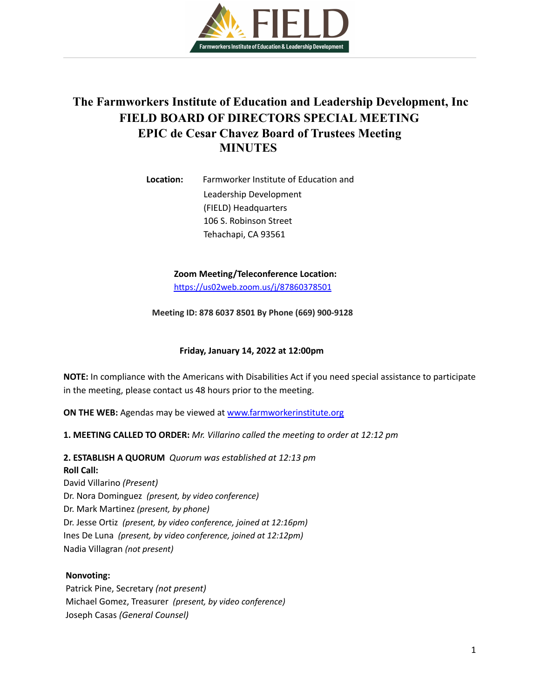

# **The Farmworkers Institute of Education and Leadership Development, Inc FIELD BOARD OF DIRECTORS SPECIAL MEETING EPIC de Cesar Chavez Board of Trustees Meeting MINUTES**

**Location:** Farmworker Institute of Education and Leadership Development (FIELD) Headquarters 106 S. Robinson Street Tehachapi, CA 93561

> **Zoom Meeting/Teleconference Location:** <https://us02web.zoom.us/j/87860378501>

**Meeting ID: 878 6037 8501 By Phone (669) 900-9128**

## **Friday, January 14, 2022 at 12:00pm**

**NOTE:** In compliance with the Americans with Disabilities Act if you need special assistance to participate in the meeting, please contact us 48 hours prior to the meeting.

**ON THE WEB:** Agendas may be viewed at [www.farmworkerinstitute.org](http://www.farmworkerinstitute.org)

**1. MEETING CALLED TO ORDER:** *Mr. Villarino called the meeting to order at 12:12 pm*

**2. ESTABLISH A QUORUM** *Quorum was established at 12:13 pm* **Roll Call:**

David Villarino *(Present)* Dr. Nora Dominguez *(present, by video conference)* Dr. Mark Martinez *(present, by phone)* Dr. Jesse Ortiz *(present, by video conference, joined at 12:16pm)* Ines De Luna *(present, by video conference, joined at 12:12pm)* Nadia Villagran *(not present)*

## **Nonvoting:**

Patrick Pine, Secretary *(not present)* Michael Gomez, Treasurer *(present, by video conference)* Joseph Casas *(General Counsel)*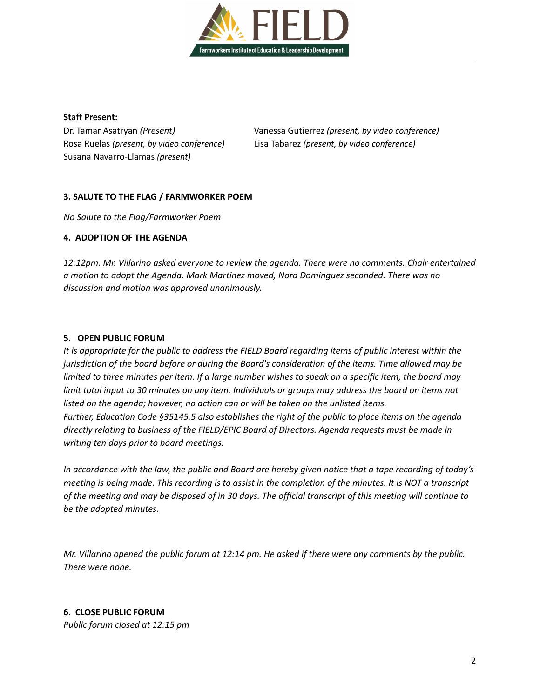

#### **Staff Present:**

Rosa Ruelas *(present, by video conference)* Lisa Tabarez *(present, by video conference)* Susana Navarro-Llamas *(present)*

Dr. Tamar Asatryan *(Present)* Vanessa Gutierrez *(present, by video conference)*

## **3. SALUTE TO THE FLAG / FARMWORKER POEM**

*No Salute to the Flag/Farmworker Poem*

## **4. ADOPTION OF THE AGENDA**

*12:12pm. Mr. Villarino asked everyone to review the agenda. There were no comments. Chair entertained a motion to adopt the Agenda. Mark Martinez moved, Nora Dominguez seconded. There was no discussion and motion was approved unanimously.*

## **5. OPEN PUBLIC FORUM**

It is appropriate for the public to address the FIELD Board regarding items of public interest within the *jurisdiction of the board before or during the Board's consideration of the items. Time allowed may be* limited to three minutes per item. If a large number wishes to speak on a specific item, the board may limit total input to 30 minutes on any item. Individuals or groups may address the board on items not *listed on the agenda; however, no action can or will be taken on the unlisted items. Further, Education Code §35145.5 also establishes the right of the public to place items on the agenda directly relating to business of the FIELD/EPIC Board of Directors. Agenda requests must be made in writing ten days prior to board meetings.*

In accordance with the law, the public and Board are hereby given notice that a tape recording of today's meeting is being made. This recording is to assist in the completion of the minutes. It is NOT a transcript of the meeting and may be disposed of in 30 days. The official transcript of this meeting will continue to *be the adopted minutes.*

Mr. Villarino opened the public forum at 12:14 pm. He asked if there were any comments by the public. *There were none.*

## **6. CLOSE PUBLIC FORUM** *Public forum closed at 12:15 pm*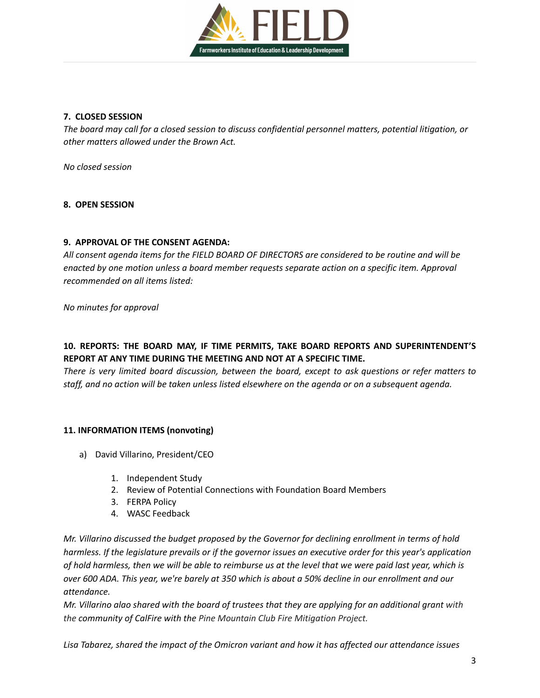

## **7. CLOSED SESSION**

*The board may call for a closed session to discuss confidential personnel matters, potential litigation, or other matters allowed under the Brown Act.*

*No closed session*

## **8. OPEN SESSION**

## **9. APPROVAL OF THE CONSENT AGENDA:**

*All consent agenda items for the FIELD BOARD OF DIRECTORS are considered to be routine and will be enacted by one motion unless a board member requests separate action on a specific item. Approval recommended on all items listed:*

*No minutes for approval*

## **10. REPORTS: THE BOARD MAY, IF TIME PERMITS, TAKE BOARD REPORTS AND SUPERINTENDENT'S REPORT AT ANY TIME DURING THE MEETING AND NOT AT A SPECIFIC TIME.**

*There is very limited board discussion, between the board, except to ask questions or refer matters to* staff, and no action will be taken unless listed elsewhere on the agenda or on a subsequent agenda.

## **11. INFORMATION ITEMS (nonvoting)**

- a) David Villarino, President/CEO
	- 1. Independent Study
	- 2. Review of Potential Connections with Foundation Board Members
	- 3. FERPA Policy
	- 4. WASC Feedback

*Mr. Villarino discussed the budget proposed by the Governor for declining enrollment in terms of hold* harmless. If the legislature prevails or if the governor issues an executive order for this year's application of hold harmless, then we will be able to reimburse us at the level that we were paid last year, which is over 600 ADA. This year, we're barely at 350 which is about a 50% decline in our enrollment and our *attendance.*

Mr. Villarino alao shared with the board of trustees that they are applying for an additional grant with *the community of CalFire with the Pine Mountain Club Fire Mitigation Project.*

*Lisa Tabarez, shared the impact of the Omicron variant and how it has affected our attendance issues*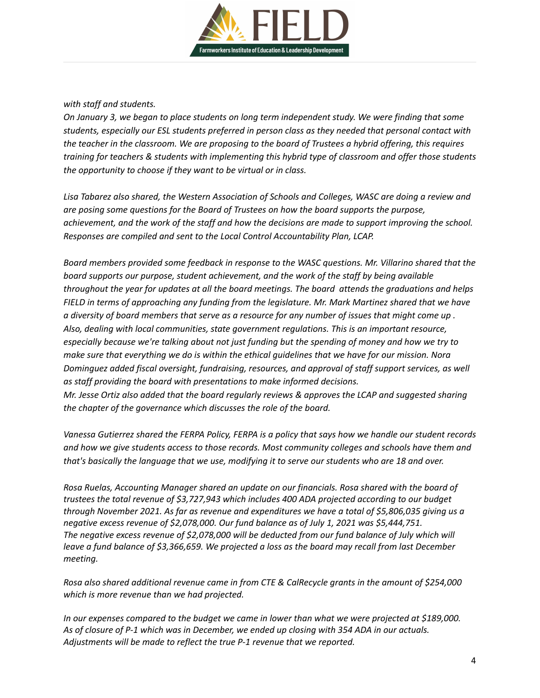

## *with staff and students.*

*On January 3, we began to place students on long term independent study. We were finding that some students, especially our ESL students preferred in person class as they needed that personal contact with* the teacher in the classroom. We are proposing to the board of Trustees a hybrid offering, this requires *training for teachers & students with implementing this hybrid type of classroom and offer those students the opportunity to choose if they want to be virtual or in class.*

*Lisa Tabarez also shared, the Western Association of Schools and Colleges, WASC are doing a review and are posing some questions for the Board of Trustees on how the board supports the purpose,* achievement, and the work of the staff and how the decisions are made to support improving the school. *Responses are compiled and sent to the Local Control Accountability Plan, LCAP.*

*Board members provided some feedback in response to the WASC questions. Mr. Villarino shared that the board supports our purpose, student achievement, and the work of the staff by being available throughout the year for updates at all the board meetings. The board attends the graduations and helps FIELD in terms of approaching any funding from the legislature. Mr. Mark Martinez shared that we have* a diversity of board members that serve as a resource for any number of issues that might come up. *Also, dealing with local communities, state government regulations. This is an important resource,* especially because we're talking about not just funding but the spending of money and how we try to make sure that everything we do is within the ethical quidelines that we have for our mission. Nora *Dominguez added fiscal oversight, fundraising, resources, and approval of staff support services, as well as staff providing the board with presentations to make informed decisions. Mr. Jesse Ortiz also added that the board regularly reviews & approves the LCAP and suggested sharing the chapter of the governance which discusses the role of the board.*

Vanessa Gutierrez shared the FERPA Policy, FERPA is a policy that says how we handle our student records *and how we give students access to those records. Most community colleges and schools have them and that's basically the language that we use, modifying it to serve our students who are 18 and over.*

*Rosa Ruelas, Accounting Manager shared an update on our financials. Rosa shared with the board of trustees the total revenue of \$3,727,943 which includes 400 ADA projected according to our budget* through November 2021. As far as revenue and expenditures we have a total of \$5,806,035 giving us a *negative excess revenue of \$2,078,000. Our fund balance as of July 1, 2021 was \$5,444,751. The negative excess revenue of \$2,078,000 will be deducted from our fund balance of July which will leave a fund balance of \$3,366,659. We projected a loss as the board may recall from last December meeting.*

*Rosa also shared additional revenue came in from CTE & CalRecycle grants in the amount of \$254,000 which is more revenue than we had projected.*

*In our expenses compared to the budget we came in lower than what we were projected at \$189,000.* As of closure of P-1 which was in December, we ended up closing with 354 ADA in our actuals. *Adjustments will be made to reflect the true P-1 revenue that we reported.*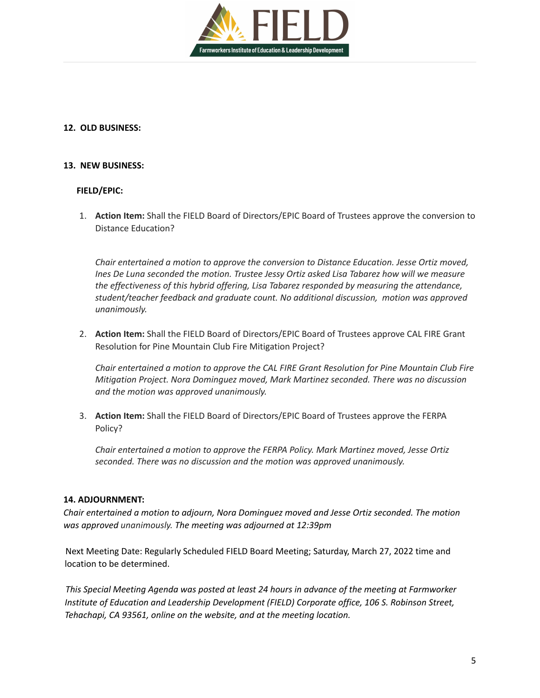

## **12. OLD BUSINESS:**

## **13. NEW BUSINESS:**

## **FIELD/EPIC:**

1. **Action Item:** Shall the FIELD Board of Directors/EPIC Board of Trustees approve the conversion to Distance Education?

*Chair entertained a motion to approve the conversion to Distance Education. Jesse Ortiz moved, Ines De Luna seconded the motion. Trustee Jessy Ortiz asked Lisa Tabarez how will we measure the effectiveness of this hybrid offering, Lisa Tabarez responded by measuring the attendance, student/teacher feedback and graduate count. No additional discussion, motion was approved unanimously.*

2. **Action Item:** Shall the FIELD Board of Directors/EPIC Board of Trustees approve CAL FIRE Grant Resolution for Pine Mountain Club Fire Mitigation Project?

*Chair entertained a motion to approve the CAL FIRE Grant Resolution for Pine Mountain Club Fire Mitigation Project. Nora Dominguez moved, Mark Martinez seconded. There was no discussion and the motion was approved unanimously.*

3. **Action Item:** Shall the FIELD Board of Directors/EPIC Board of Trustees approve the FERPA Policy?

*Chair entertained a motion to approve the FERPA Policy. Mark Martinez moved, Jesse Ortiz seconded. There was no discussion and the motion was approved unanimously.*

## **14. ADJOURNMENT:**

*Chair entertained a motion to adjourn, Nora Dominguez moved and Jesse Ortiz seconded. The motion was approved unanimously. The meeting was adjourned at 12:39pm*

Next Meeting Date: Regularly Scheduled FIELD Board Meeting; Saturday, March 27, 2022 time and location to be determined.

*This Special Meeting Agenda was posted at least 24 hours in advance of the meeting at Farmworker Institute of Education and Leadership Development (FIELD) Corporate office, 106 S. Robinson Street, Tehachapi, CA 93561, online on the website, and at the meeting location.*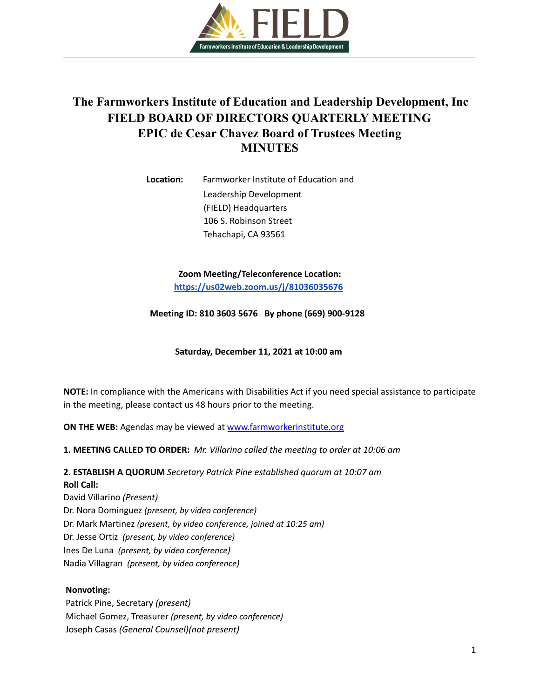

# **The Farmworkers Institute of Education and Leadership Development, Inc FIELD BOARD OF DIRECTORS QUARTERLY MEETING EPIC de Cesar Chavez Board of Trustees Meeting MINUTES**

**Location:** Farmworker Institute of Education and Leadership Development (FIELD) Headquarters 106 S. Robinson Street Tehachapi, CA 93561

> **Zoom Meeting/Teleconference Location: <https://us02web.zoom.us/j/81036035676>**

**Meeting ID: 810 3603 5676 By phone (669) 900-9128**

**Saturday, December 11, 2021 at 10:00 am**

**NOTE:** In compliance with the Americans with Disabilities Act if you need special assistance to participate in the meeting, please contact us 48 hours prior to the meeting.

**ON THE WEB:** Agendas may be viewed at [www.farmworkerinstitute.org](http://www.farmworkerinstitute.org)

**1. MEETING CALLED TO ORDER:** *Mr. Villarino called the meeting to order at 10:06 am*

**2. ESTABLISH A QUORUM** *Secretary Patrick Pine established quorum at 10:07 am* **Roll Call:**

David Villarino *(Present)* Dr. Nora Dominguez *(present, by video conference)* Dr. Mark Martinez *(present, by video conference, joined at 10:25 am)* Dr. Jesse Ortiz *(present, by video conference)* Ines De Luna *(present, by video conference)* Nadia Villagran *(present, by video conference)*

## **Nonvoting:**

Patrick Pine, Secretary *(present)* Michael Gomez, Treasurer *(present, by video conference)* Joseph Casas *(General Counsel)(not present)*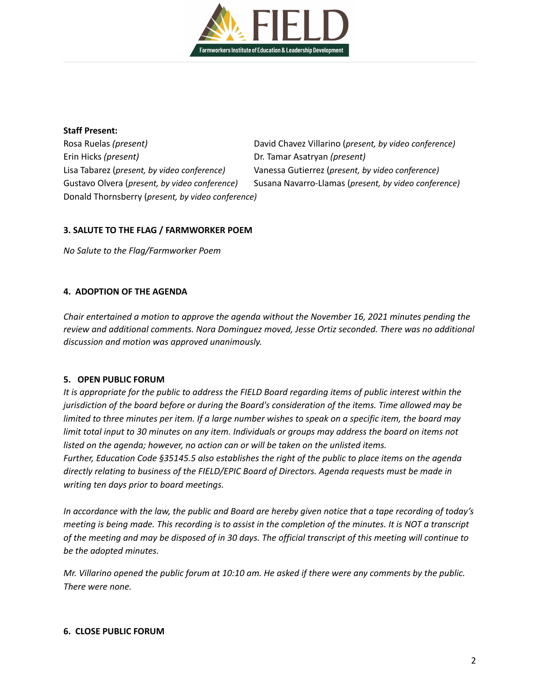

#### **Staff Present:**

Erin Hicks *(present)* Dr. Tamar Asatryan *(present)* Lisa Tabarez (*present, by video conference)* Vanessa Gutierrez (*present, by video conference)* Donald Thornsberry (*present, by video conference)*

Rosa Ruelas *(present)* David Chavez Villarino (*present, by video conference)* Gustavo Olvera (*present, by video conference)* Susana Navarro-Llamas (*present, by video conference)*

## **3. SALUTE TO THE FLAG / FARMWORKER POEM**

*No Salute to the Flag/Farmworker Poem*

## **4. ADOPTION OF THE AGENDA**

*Chair entertained a motion to approve the agenda without the November 16, 2021 minutes pending the review and additional comments. Nora Dominguez moved, Jesse Ortiz seconded. There was no additional discussion and motion was approved unanimously.*

## **5. OPEN PUBLIC FORUM**

It is appropriate for the public to address the FIELD Board regarding items of public interest within the *jurisdiction of the board before or during the Board's consideration of the items. Time allowed may be* limited to three minutes per item. If a large number wishes to speak on a specific item, the board may limit total input to 30 minutes on any item. Individuals or groups may address the board on items not *listed on the agenda; however, no action can or will be taken on the unlisted items.*

*Further, Education Code §35145.5 also establishes the right of the public to place items on the agenda directly relating to business of the FIELD/EPIC Board of Directors. Agenda requests must be made in writing ten days prior to board meetings.*

In accordance with the law, the public and Board are hereby given notice that a tape recording of today's meeting is being made. This recording is to assist in the completion of the minutes. It is NOT a transcript of the meeting and may be disposed of in 30 days. The official transcript of this meeting will continue to *be the adopted minutes.*

Mr. Villarino opened the public forum at 10:10 am. He asked if there were any comments by the public. *There were none.*

## **6. CLOSE PUBLIC FORUM**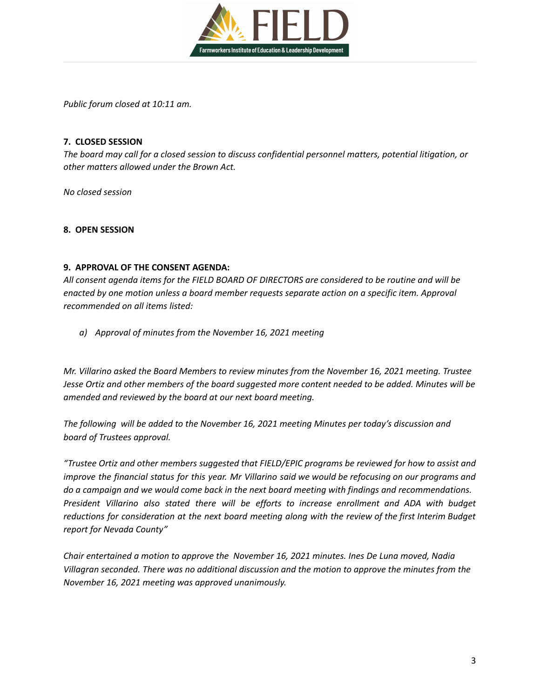

*Public forum closed at 10:11 am.*

## **7. CLOSED SESSION**

*The board may call for a closed session to discuss confidential personnel matters, potential litigation, or other matters allowed under the Brown Act.*

*No closed session*

## **8. OPEN SESSION**

## **9. APPROVAL OF THE CONSENT AGENDA:**

*All consent agenda items for the FIELD BOARD OF DIRECTORS are considered to be routine and will be enacted by one motion unless a board member requests separate action on a specific item. Approval recommended on all items listed:*

*a) Approval of minutes from the November 16, 2021 meeting*

*Mr. Villarino asked the Board Members to review minutes from the November 16, 2021 meeting. Trustee* Jesse Ortiz and other members of the board suggested more content needed to be added. Minutes will be *amended and reviewed by the board at our next board meeting.*

*The following will be added to the November 16, 2021 meeting Minutes per today's discussion and board of Trustees approval.*

*"Trustee Ortiz and other members suggested that FIELD/EPIC programs be reviewed for how to assist and* improve the financial status for this year. Mr Villarino said we would be refocusing on our programs and *do a campaign and we would come back in the next board meeting with findings and recommendations. President Villarino also stated there will be efforts to increase enrollment and ADA with budget reductions for consideration at the next board meeting along with the review of the first Interim Budget report for Nevada County"*

*Chair entertained a motion to approve the November 16, 2021 minutes. Ines De Luna moved, Nadia Villagran seconded. There was no additional discussion and the motion to approve the minutes from the November 16, 2021 meeting was approved unanimously.*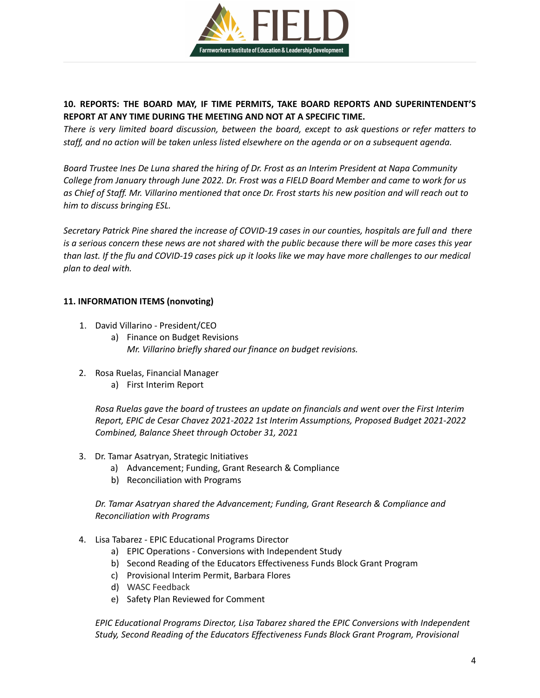

## **10. REPORTS: THE BOARD MAY, IF TIME PERMITS, TAKE BOARD REPORTS AND SUPERINTENDENT'S REPORT AT ANY TIME DURING THE MEETING AND NOT AT A SPECIFIC TIME.**

*There is very limited board discussion, between the board, except to ask questions or refer matters to* staff, and no action will be taken unless listed elsewhere on the agenda or on a subsequent agenda.

Board Trustee Ines De Luna shared the hiring of Dr. Frost as an Interim President at Napa Community College from January through June 2022. Dr. Frost was a FIELD Board Member and came to work for us as Chief of Staff. Mr. Villarino mentioned that once Dr. Frost starts his new position and will reach out to *him to discuss bringing ESL.*

Secretary Patrick Pine shared the increase of COVID-19 cases in our counties, hospitals are full and there is a serious concern these news are not shared with the public because there will be more cases this year than last. If the flu and COVID-19 cases pick up it looks like we may have more challenges to our medical *plan to deal with.*

## **11. INFORMATION ITEMS (nonvoting)**

- 1. David Villarino President/CEO
	- a) Finance on Budget Revisions *Mr. Villarino briefly shared our finance on budget revisions.*
- 2. Rosa Ruelas, Financial Manager
	- a) First Interim Report

*Rosa Ruelas gave the board of trustees an update on financials and went over the First Interim Report, EPIC de Cesar Chavez 2021-2022 1st Interim Assumptions, Proposed Budget 2021-2022 Combined, Balance Sheet through October 31, 2021*

- 3. Dr. Tamar Asatryan, Strategic Initiatives
	- a) Advancement; Funding, Grant Research & Compliance
	- b) Reconciliation with Programs

*Dr. Tamar Asatryan shared the Advancement; Funding, Grant Research & Compliance and Reconciliation with Programs*

- 4. Lisa Tabarez EPIC Educational Programs Director
	- a) EPIC Operations Conversions with Independent Study
	- b) Second Reading of the Educators Effectiveness Funds Block Grant Program
	- c) Provisional Interim Permit, Barbara Flores
	- d) WASC Feedback
	- e) Safety Plan Reviewed for Comment

*EPIC Educational Programs Director, Lisa Tabarez shared the EPIC Conversions with Independent Study, Second Reading of the Educators Effectiveness Funds Block Grant Program, Provisional*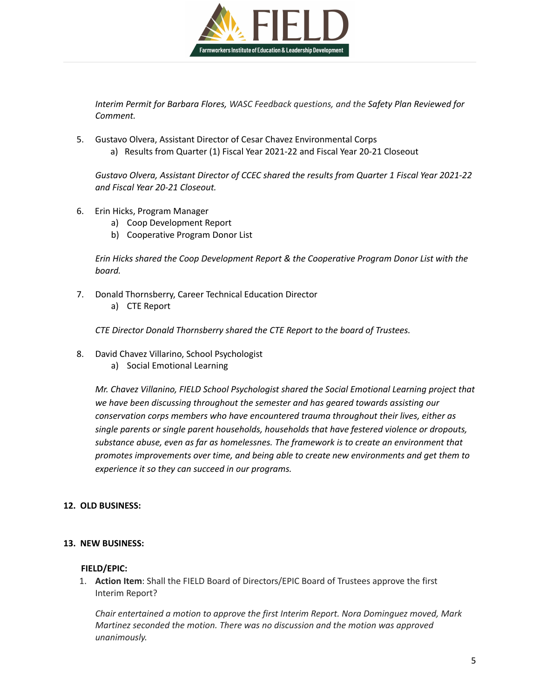

*Interim Permit for Barbara Flores, WASC Feedback questions, and the Safety Plan Reviewed for Comment.*

5. Gustavo Olvera, Assistant Director of Cesar Chavez Environmental Corps a) Results from Quarter (1) Fiscal Year 2021-22 and Fiscal Year 20-21 Closeout

*Gustavo Olvera, Assistant Director of CCEC shared the results from Quarter 1 Fiscal Year 2021-22 and Fiscal Year 20-21 Closeout.*

- 6. Erin Hicks, Program Manager
	- a) Coop Development Report
	- b) Cooperative Program Donor List

*Erin Hicks shared the Coop Development Report & the Cooperative Program Donor List with the board.*

- 7. Donald Thornsberry, Career Technical Education Director
	- a) CTE Report

*CTE Director Donald Thornsberry shared the CTE Report to the board of Trustees.*

- 8. David Chavez Villarino, School Psychologist
	- a) Social Emotional Learning

*Mr. Chavez Villanino, FIELD School Psychologist shared the Social Emotional Learning project that we have been discussing throughout the semester and has geared towards assisting our conservation corps members who have encountered trauma throughout their lives, either as single parents or single parent households, households that have festered violence or dropouts, substance abuse, even as far as homelessnes. The framework is to create an environment that promotes improvements over time, and being able to create new environments and get them to experience it so they can succeed in our programs.*

## **12. OLD BUSINESS:**

## **13. NEW BUSINESS:**

## **FIELD/EPIC:**

1. **Action Item**: Shall the FIELD Board of Directors/EPIC Board of Trustees approve the first Interim Report?

*Chair entertained a motion to approve the first Interim Report. Nora Dominguez moved, Mark Martinez seconded the motion. There was no discussion and the motion was approved unanimously.*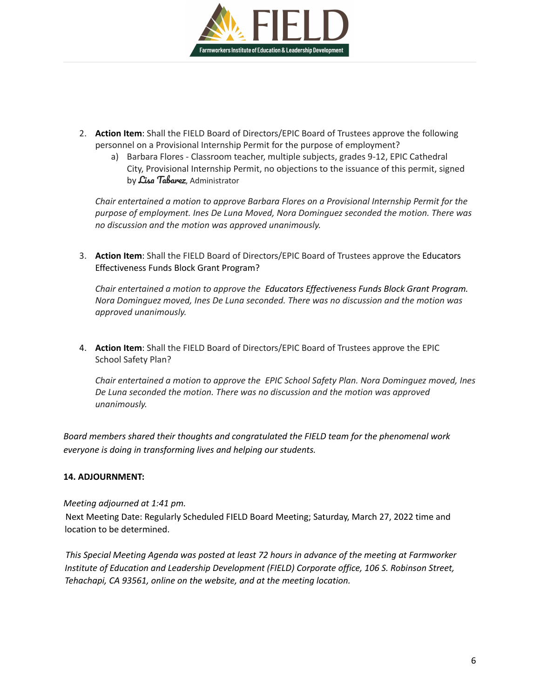

- 2. **Action Item**: Shall the FIELD Board of Directors/EPIC Board of Trustees approve the following personnel on a Provisional Internship Permit for the purpose of employment?
	- a) Barbara Flores Classroom teacher, multiple subjects, grades 9-12, EPIC Cathedral City, Provisional Internship Permit, no objections to the issuance of this permit, signed by *Lisa Tabarez*, Administrator

*Chair entertained a motion to approve Barbara Flores on a Provisional Internship Permit for the purpose of employment. Ines De Luna Moved, Nora Dominguez seconded the motion. There was no discussion and the motion was approved unanimously.*

3. **Action Item**: Shall the FIELD Board of Directors/EPIC Board of Trustees approve the Educators Effectiveness Funds Block Grant Program?

*Chair entertained a motion to approve the Educators Effectiveness Funds Block Grant Program. Nora Dominguez moved, Ines De Luna seconded. There was no discussion and the motion was approved unanimously.*

4. **Action Item**: Shall the FIELD Board of Directors/EPIC Board of Trustees approve the EPIC School Safety Plan?

*Chair entertained a motion to approve the EPIC School Safety Plan. Nora Dominguez moved, Ines De Luna seconded the motion. There was no discussion and the motion was approved unanimously.*

*Board members shared their thoughts and congratulated the FIELD team for the phenomenal work everyone is doing in transforming lives and helping our students.*

## **14. ADJOURNMENT:**

## *Meeting adjourned at 1:41 pm.*

Next Meeting Date: Regularly Scheduled FIELD Board Meeting; Saturday, March 27, 2022 time and location to be determined.

*This Special Meeting Agenda was posted at least 72 hours in advance of the meeting at Farmworker Institute of Education and Leadership Development (FIELD) Corporate office, 106 S. Robinson Street, Tehachapi, CA 93561, online on the website, and at the meeting location.*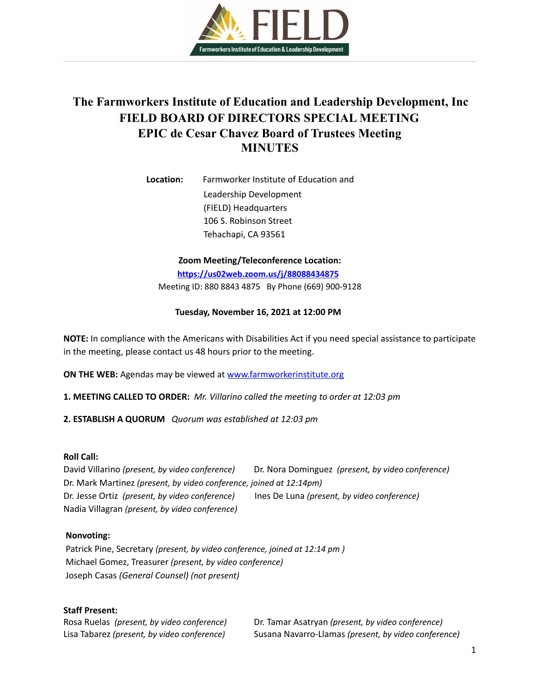

# **The Farmworkers Institute of Education and Leadership Development, Inc FIELD BOARD OF DIRECTORS SPECIAL MEETING EPIC de Cesar Chavez Board of Trustees Meeting MINUTES**

**Location:** Farmworker Institute of Education and Leadership Development (FIELD) Headquarters 106 S. Robinson Street Tehachapi, CA 93561

**Zoom Meeting/Teleconference Location:**

**<https://us02web.zoom.us/j/88088434875>**

Meeting ID: 880 8843 4875 By Phone (669) 900-9128

#### **Tuesday, November 16, 2021 at 12:00 PM**

**NOTE:** In compliance with the Americans with Disabilities Act if you need special assistance to participate in the meeting, please contact us 48 hours prior to the meeting.

**ON THE WEB:** Agendas may be viewed at [www.farmworkerinstitute.org](http://www.farmworkerinstitute.org)

**1. MEETING CALLED TO ORDER:** *Mr. Villarino called the meeting to order at 12:03 pm*

**2. ESTABLISH A QUORUM** *Quorum was established at 12:03 pm*

#### **Roll Call:**

David Villarino *(present, by video conference)* Dr. Nora Dominguez *(present, by video conference)* Dr. Mark Martinez *(present, by video conference, joined at 12:14pm)* Dr. Jesse Ortiz *(present, by video conference)* Ines De Luna *(present, by video conference)* Nadia Villagran *(present, by video conference)*

#### **Nonvoting:**

Patrick Pine, Secretary *(present, by video conference, joined at 12:14 pm )* Michael Gomez, Treasurer *(present, by video conference)* Joseph Casas *(General Counsel) (not present)*

#### **Staff Present:**

Rosa Ruelas *(present, by video conference)* Dr. Tamar Asatryan *(present, by video conference)* Lisa Tabarez *(present, by video conference)* Susana Navarro-Llamas *(present, by video conference)*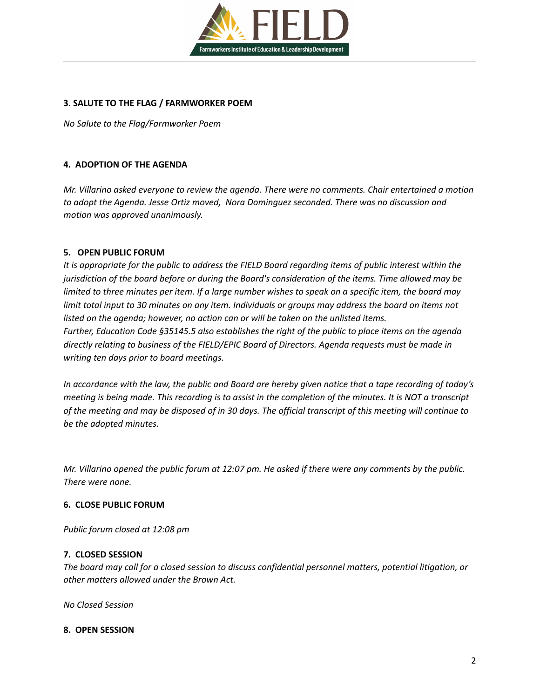

## **3. SALUTE TO THE FLAG / FARMWORKER POEM**

*No Salute to the Flag/Farmworker Poem*

## **4. ADOPTION OF THE AGENDA**

*Mr. Villarino asked everyone to review the agenda. There were no comments. Chair entertained a motion to adopt the Agenda. Jesse Ortiz moved, Nora Dominguez seconded. There was no discussion and motion was approved unanimously.*

## **5. OPEN PUBLIC FORUM**

It is appropriate for the public to address the FIELD Board regarding items of public interest within the *jurisdiction of the board before or during the Board's consideration of the items. Time allowed may be* limited to three minutes per item. If a large number wishes to speak on a specific item, the board may limit total input to 30 minutes on any item. Individuals or groups may address the board on items not *listed on the agenda; however, no action can or will be taken on the unlisted items. Further, Education Code §35145.5 also establishes the right of the public to place items on the agenda directly relating to business of the FIELD/EPIC Board of Directors. Agenda requests must be made in writing ten days prior to board meetings.*

In accordance with the law, the public and Board are hereby given notice that a tape recording of today's meeting is being made. This recording is to assist in the completion of the minutes. It is NOT a transcript of the meeting and may be disposed of in 30 days. The official transcript of this meeting will continue to *be the adopted minutes.*

Mr. Villarino opened the public forum at 12:07 pm. He asked if there were any comments by the public. *There were none.*

## **6. CLOSE PUBLIC FORUM**

*Public forum closed at 12:08 pm*

## **7. CLOSED SESSION**

*The board may call for a closed session to discuss confidential personnel matters, potential litigation, or other matters allowed under the Brown Act.*

*No Closed Session*

## **8. OPEN SESSION**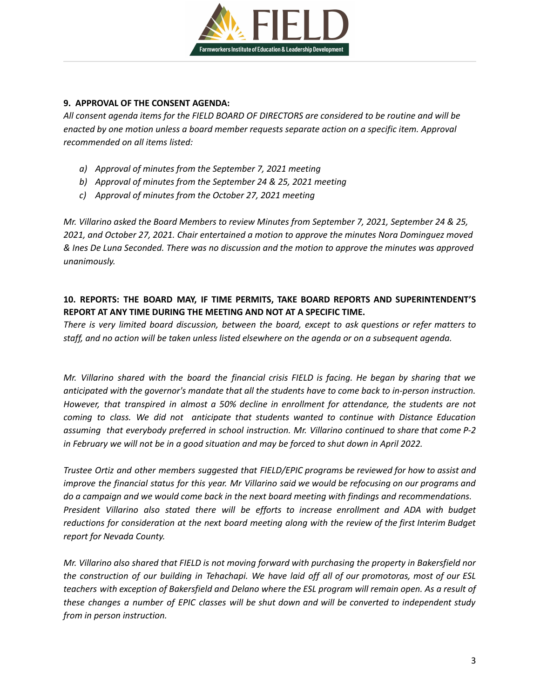

## **9. APPROVAL OF THE CONSENT AGENDA:**

*All consent agenda items for the FIELD BOARD OF DIRECTORS are considered to be routine and will be enacted by one motion unless a board member requests separate action on a specific item. Approval recommended on all items listed:*

- *a) Approval of minutes from the September 7, 2021 meeting*
- *b) Approval of minutes from the September 24 & 25, 2021 meeting*
- *c) Approval of minutes from the October 27, 2021 meeting*

*Mr. Villarino asked the Board Members to review Minutes from September 7, 2021, September 24 & 25, 2021, and October 27, 2021. Chair entertained a motion to approve the minutes Nora Dominguez moved* & Ines De Luna Seconded. There was no discussion and the motion to approve the minutes was approved *unanimously.*

## **10. REPORTS: THE BOARD MAY, IF TIME PERMITS, TAKE BOARD REPORTS AND SUPERINTENDENT'S REPORT AT ANY TIME DURING THE MEETING AND NOT AT A SPECIFIC TIME.**

*There is very limited board discussion, between the board, except to ask questions or refer matters to* staff, and no action will be taken unless listed elsewhere on the agenda or on a subsequent agenda.

Mr. Villarino shared with the board the financial crisis FIELD is facing. He began by sharing that we *anticipated with the governor's mandate that all the students have to come back to in-person instruction. However, that transpired in almost a 50% decline in enrollment for attendance, the students are not coming to class. We did not anticipate that students wanted to continue with Distance Education assuming that everybody preferred in school instruction. Mr. Villarino continued to share that come P-2* in February we will not be in a good situation and may be forced to shut down in April 2022.

*Trustee Ortiz and other members suggested that FIELD/EPIC programs be reviewed for how to assist and* improve the financial status for this year. Mr Villarino said we would be refocusing on our programs and *do a campaign and we would come back in the next board meeting with findings and recommendations. President Villarino also stated there will be efforts to increase enrollment and ADA with budget reductions for consideration at the next board meeting along with the review of the first Interim Budget report for Nevada County.*

Mr. Villarino also shared that FIELD is not moving forward with purchasing the property in Bakersfield nor the construction of our building in Tehachapi. We have laid off all of our promotoras, most of our ESL teachers with exception of Bakersfield and Delano where the ESL program will remain open. As a result of these changes a number of EPIC classes will be shut down and will be converted to independent study *from in person instruction.*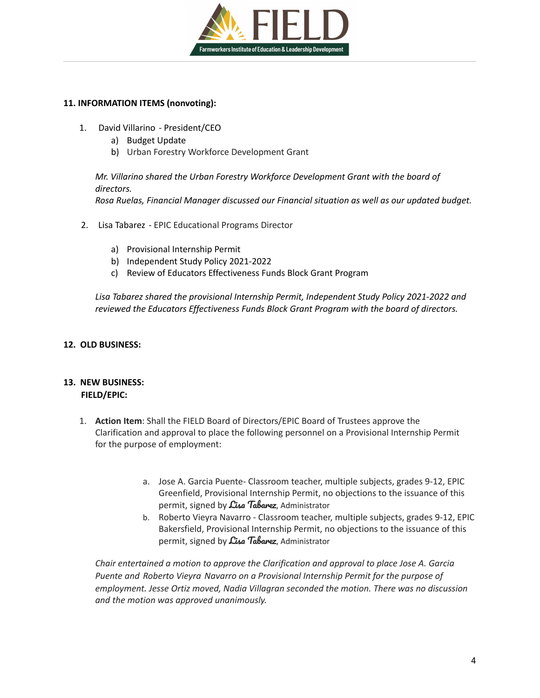

## **11. INFORMATION ITEMS (nonvoting):**

- 1. David [Villarino](mailto:davidv@fieldinstitute.org) President/CEO
	- a) Budget Update
	- b) Urban Forestry Workforce Development Grant

*Mr. Villarino shared the Urban Forestry Workforce Development Grant with the board of directors. Rosa Ruelas, Financial Manager discussed our Financial situation as well as our updated budget.*

- 2. Lisa [Tabarez](mailto:ltabarez@fieldinstitute.org) EPIC Educational Programs Director
	- a) Provisional Internship Permit
	- b) Independent Study Policy 2021-2022
	- c) Review of Educators Effectiveness Funds Block Grant Program

*Lisa Tabarez shared the provisional Internship Permit, Independent Study Policy 2021-2022 and reviewed the Educators Effectiveness Funds Block Grant Program with the board of directors.*

## **12. OLD BUSINESS:**

## **13. NEW BUSINESS: FIELD/EPIC:**

- 1. **Action Item**: Shall the FIELD Board of Directors/EPIC Board of Trustees approve the Clarification and approval to place the following personnel on a Provisional Internship Permit for the purpose of employment:
	- a. Jose A. Garcia Puente- Classroom teacher, multiple subjects, grades 9-12, EPIC Greenfield, Provisional Internship Permit, no objections to the issuance of this permit, signed by  $\mathcal{L}$ isa Tabarez, Administrator
	- b. Roberto Vieyra Navarro Classroom teacher, multiple subjects, grades 9-12, EPIC Bakersfield, Provisional Internship Permit, no objections to the issuance of this permit, signed by  $\mathcal{L}$ isa Tabarez, Administrator

*Chair entertained a motion to approve the Clarification and approval to place Jose A. Garcia Puente and [Roberto](mailto:rvieyra09@gmail.com) Vieyra Navarro on a Provisional Internship Permit for the purpose of employment. Jesse Ortiz moved, Nadia Villagran seconded the motion. There was no discussion and the motion was approved unanimously.*